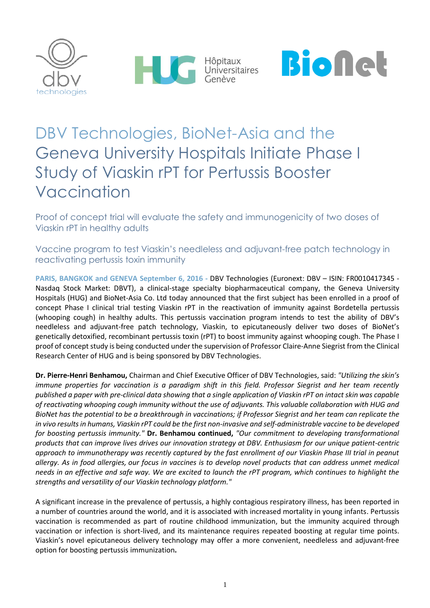





# DBV Technologies, BioNet-Asia and the Geneva University Hospitals Initiate Phase I Study of Viaskin rPT for Pertussis Booster Vaccination

Proof of concept trial will evaluate the safety and immunogenicity of two doses of Viaskin rPT in healthy adults

Vaccine program to test Viaskin's needleless and adjuvant-free patch technology in reactivating pertussis toxin immunity

**PARIS, BANGKOK and GENEVA September 6, 2016 -** DBV Technologies (Euronext: DBV – ISIN: FR0010417345 - Nasdaq Stock Market: DBVT), a clinical-stage specialty biopharmaceutical company, the Geneva University Hospitals (HUG) and BioNet-Asia Co. Ltd today announced that the first subject has been enrolled in a proof of concept Phase I clinical trial testing Viaskin rPT in the reactivation of immunity against Bordetella pertussis (whooping cough) in healthy adults. This pertussis vaccination program intends to test the ability of DBV's needleless and adjuvant-free patch technology, Viaskin, to epicutaneously deliver two doses of BioNet's genetically detoxified, recombinant pertussis toxin (rPT) to boost immunity against whooping cough. The Phase I proof of concept study is being conducted under the supervision of Professor Claire-Anne Siegrist from the Clinical Research Center of HUG and is being sponsored by DBV Technologies.

**Dr. Pierre-Henri Benhamou,** Chairman and Chief Executive Officer of DBV Technologies, said: *"Utilizing the skin's immune properties for vaccination is a paradigm shift in this field. Professor Siegrist and her team recently published a paper with pre-clinical data showing that a single application of Viaskin rPT on intact skin was capable of reactivating whooping cough immunity without the use of adjuvants. This valuable collaboration with HUG and BioNet has the potential to be a breakthrough in vaccinations; if Professor Siegrist and her team can replicate the in vivo results in humans, Viaskin rPT could be the first non-invasive and self-administrable vaccine to be developed for boosting pertussis immunity."* **Dr. Benhamou continued,** *"Our commitment to developing transformational products that can improve lives drives our innovation strategy at DBV. Enthusiasm for our unique patient-centric approach to immunotherapy was recently captured by the fast enrollment of our Viaskin Phase III trial in peanut allergy. As in food allergies, our focus in vaccines is to develop novel products that can address unmet medical needs in an effective and safe way. We are excited to launch the rPT program, which continues to highlight the strengths and versatility of our Viaskin technology platform."*

A significant increase in the prevalence of pertussis, a highly contagious respiratory illness, has been reported in a number of countries around the world, and it is associated with increased mortality in young infants. Pertussis vaccination is recommended as part of routine childhood immunization, but the immunity acquired through vaccination or infection is short-lived, and its maintenance requires repeated boosting at regular time points. Viaskin's novel epicutaneous delivery technology may offer a more convenient, needleless and adjuvant-free option for boosting pertussis immunization**.**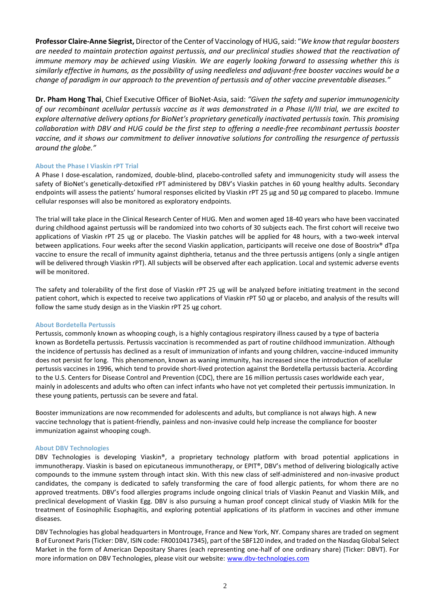Professor Claire-Anne Siegrist, Director of the Center of Vaccinology of HUG, said: "We know that regular boosters *are needed to maintain protection against pertussis, and our preclinical studies showed that the reactivation of immune memory may be achieved using Viaskin. We are eagerly looking forward to assessing whether this is similarly effective in humans, as the possibility of using needleless and adjuvant-free booster vaccines would be a change of paradigm in our approach to the prevention of pertussis and of other vaccine preventable diseases."* 

**Dr. Pham Hong Thai**, Chief Executive Officer of BioNet-Asia, said: *"Given the safety and superior immunogenicity of our recombinant acellular pertussis vaccine as it was demonstrated in a Phase II/III trial, we are excited to explore alternative delivery options for BioNet's proprietary genetically inactivated pertussis toxin. This promising collaboration with DBV and HUG could be the first step to offering a needle-free recombinant pertussis booster vaccine, and it shows our commitment to deliver innovative solutions for controlling the resurgence of pertussis around the globe."*

## **About the Phase I Viaskin rPT Trial**

A Phase I dose-escalation, randomized, double-blind, placebo-controlled safety and immunogenicity study will assess the safety of BioNet's genetically-detoxified rPT administered by DBV's Viaskin patches in 60 young healthy adults. Secondary endpoints will assess the patients' humoral responses elicited by Viaskin rPT 25 μg and 50 μg compared to placebo. Immune cellular responses will also be monitored as exploratory endpoints.

The trial will take place in the Clinical Research Center of HUG. Men and women aged 18-40 years who have been vaccinated during childhood against pertussis will be randomized into two cohorts of 30 subjects each. The first cohort will receive two applications of Viaskin rPT 25 ųg or placebo. The Viaskin patches will be applied for 48 hours, with a two-week interval between applications. Four weeks after the second Viaskin application, participants will receive one dose of Boostrix® dTpa vaccine to ensure the recall of immunity against diphtheria, tetanus and the three pertussis antigens (only a single antigen will be delivered through Viaskin rPT). All subjects will be observed after each application. Local and systemic adverse events will be monitored.

The safety and tolerability of the first dose of Viaskin rPT 25 ųg will be analyzed before initiating treatment in the second patient cohort, which is expected to receive two applications of Viaskin rPT 50 ųg or placebo, and analysis of the results will follow the same study design as in the Viaskin rPT 25 ųg cohort.

## **About Bordetella Pertussis**

Pertussis, commonly known as whooping cough, is a highly contagious respiratory illness caused by a type of bacteria known as Bordetella pertussis. Pertussis vaccination is recommended as part of routine childhood immunization. Although the incidence of pertussis has declined as a result of immunization of infants and young children, vaccine-induced immunity does not persist for long. This phenomenon, known as waning immunity, has increased since the introduction of acellular pertussis vaccines in 1996, which tend to provide short-lived protection against the Bordetella pertussis bacteria. According to the U.S. Centers for Disease Control and Prevention (CDC), there are 16 million pertussis cases worldwide each year, mainly in adolescents and adults who often can infect infants who have not yet completed their pertussis immunization. In these young patients, pertussis can be severe and fatal.

Booster immunizations are now recommended for adolescents and adults, but compliance is not always high. A new vaccine technology that is patient-friendly, painless and non-invasive could help increase the compliance for booster immunization against whooping cough.

## **About DBV Technologies**

DBV Technologies is developing Viaskin®, a proprietary technology platform with broad potential applications in immunotherapy. Viaskin is based on epicutaneous immunotherapy, or EPIT®, DBV's method of delivering biologically active compounds to the immune system through intact skin. With this new class of self-administered and non-invasive product candidates, the company is dedicated to safely transforming the care of food allergic patients, for whom there are no approved treatments. DBV's food allergies programs include ongoing clinical trials of Viaskin Peanut and Viaskin Milk, and preclinical development of Viaskin Egg. DBV is also pursuing a human proof concept clinical study of Viaskin Milk for the treatment of Eosinophilic Esophagitis, and exploring potential applications of its platform in vaccines and other immune diseases.

DBV Technologies has global headquarters in Montrouge, France and New York, NY. Company shares are traded on segment B of Euronext Paris (Ticker: DBV, ISIN code: FR0010417345), part of the SBF120 index, and traded on the Nasdaq Global Select Market in the form of American Depositary Shares (each representing one-half of one ordinary share) (Ticker: DBVT). For more information on DBV Technologies, please visit our website: [www.dbv-technologies.com](http://www.dbv-technologies.com/)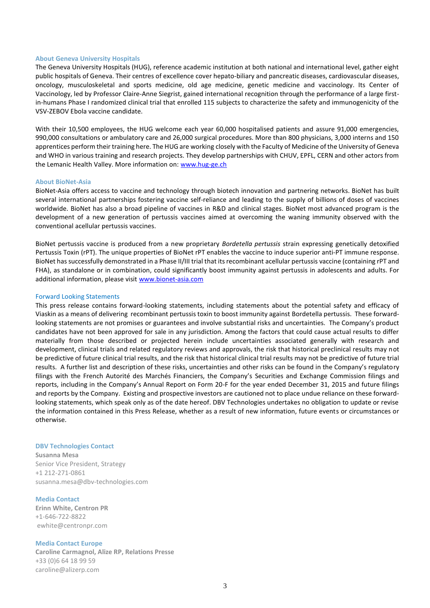### **About Geneva University Hospitals**

The Geneva University Hospitals (HUG), reference academic institution at both national and international level, gather eight public hospitals of Geneva. Their centres of excellence cover hepato-biliary and pancreatic diseases, cardiovascular diseases, oncology, musculoskeletal and sports medicine, old age medicine, genetic medicine and vaccinology. Its Center of Vaccinology, led by Professor Claire-Anne Siegrist, gained international recognition through the performance of a large firstin-humans Phase I randomized clinical trial that enrolled 115 subjects to characterize the safety and immunogenicity of the VSV-ZEBOV Ebola vaccine candidate.

With their 10,500 employees, the HUG welcome each year 60,000 hospitalised patients and assure 91,000 emergencies, 990,000 consultations or ambulatory care and 26,000 surgical procedures. More than 800 physicians, 3,000 interns and 150 apprentices perform their training here. The HUG are working closely with the Faculty of Medicine of the University of Geneva and WHO in various training and research projects. They develop partnerships with CHUV, EPFL, CERN and other actors from the Lemanic Health Valley. More information on: [www.hug-ge.ch](http://www.hug-ge.ch/)

#### **About BioNet-Asia**

BioNet-Asia offers access to vaccine and technology through biotech innovation and partnering networks. BioNet has built several international partnerships fostering vaccine self-reliance and leading to the supply of billions of doses of vaccines worldwide. BioNet has also a broad pipeline of vaccines in R&D and clinical stages. BioNet most advanced program is the development of a new generation of pertussis vaccines aimed at overcoming the waning immunity observed with the conventional acellular pertussis vaccines.

BioNet pertussis vaccine is produced from a new proprietary *Bordetella pertussis* strain expressing genetically detoxified Pertussis Toxin (rPT). The unique properties of BioNet rPT enables the vaccine to induce superior anti-PT immune response. BioNet has successfully demonstrated in a Phase II/III trial that its recombinant acellular pertussis vaccine (containing rPT and FHA), as standalone or in combination, could significantly boost immunity against pertussis in adolescents and adults. For additional information, please visit www.bionet-asia.com

#### Forward Looking Statements

This press release contains forward-looking statements, including statements about the potential safety and efficacy of Viaskin as a means of delivering recombinant pertussis toxin to boost immunity against Bordetella pertussis. These forwardlooking statements are not promises or guarantees and involve substantial risks and uncertainties. The Company's product candidates have not been approved for sale in any jurisdiction. Among the factors that could cause actual results to differ materially from those described or projected herein include uncertainties associated generally with research and development, clinical trials and related regulatory reviews and approvals, the risk that historical preclinical results may not be predictive of future clinical trial results, and the risk that historical clinical trial results may not be predictive of future trial results. A further list and description of these risks, uncertainties and other risks can be found in the Company's regulatory filings with the French Autorité des Marchés Financiers, the Company's Securities and Exchange Commission filings and reports, including in the Company's Annual Report on Form 20-F for the year ended December 31, 2015 and future filings and reports by the Company. Existing and prospective investors are cautioned not to place undue reliance on these forwardlooking statements, which speak only as of the date hereof. DBV Technologies undertakes no obligation to update or revise the information contained in this Press Release, whether as a result of new information, future events or circumstances or otherwise.

#### **DBV Technologies Contact**

**Susanna Mesa** Senior Vice President, Strategy +1 212-271-0861 [susanna.mesa@dbv-technologies.com](mailto:susanna.mesa@dbv-technologies.com)

#### **Media Contact**

**Erinn White, Centron PR** +1-646-722-8822 [ewhite@centronpr.com](mailto:mjanic@rooneyco.com)

#### **Media Contact Europe**

**Caroline Carmagnol, Alize RP, Relations Presse**  +33 (0)6 64 18 99 59 [caroline@alizerp.com](mailto:caroline@alizerp.com)